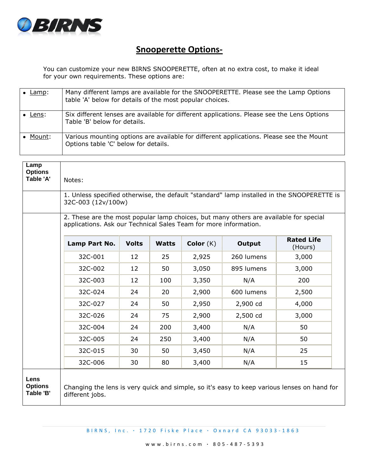

## **Snooperette Options-**

You can customize your new BIRNS SNOOPERETTE, often at no extra cost, to make it ideal for your own requirements. These options are:

| Lamp:  | Many different lamps are available for the SNOOPERETTE. Please see the Lamp Options<br>table 'A' below for details of the most popular choices. |
|--------|-------------------------------------------------------------------------------------------------------------------------------------------------|
| Lens:  | Six different lenses are available for different applications. Please see the Lens Options<br>Table 'B' below for details.                      |
| Mount: | Various mounting options are available for different applications. Please see the Mount<br>Options table 'C' below for details.                 |

| Lamp<br><b>Options</b><br>Table 'A' | Notes:                                                                                                                                                    |              |              |             |            |                              |  |
|-------------------------------------|-----------------------------------------------------------------------------------------------------------------------------------------------------------|--------------|--------------|-------------|------------|------------------------------|--|
|                                     | 1. Unless specified otherwise, the default "standard" lamp installed in the SNOOPERETTE is<br>32C-003 (12v/100w)                                          |              |              |             |            |                              |  |
|                                     | 2. These are the most popular lamp choices, but many others are available for special<br>applications. Ask our Technical Sales Team for more information. |              |              |             |            |                              |  |
|                                     | Lamp Part No.                                                                                                                                             | <b>Volts</b> | <b>Watts</b> | Color $(K)$ | Output     | <b>Rated Life</b><br>(Hours) |  |
|                                     | 32C-001                                                                                                                                                   | 12           | 25           | 2,925       | 260 lumens | 3,000                        |  |
|                                     | 32C-002                                                                                                                                                   | 12           | 50           | 3,050       | 895 lumens | 3,000                        |  |
|                                     | 32C-003                                                                                                                                                   | 12           | 100          | 3,350       | N/A        | 200                          |  |
|                                     | 32C-024                                                                                                                                                   | 24           | 20           | 2,900       | 600 lumens | 2,500                        |  |
|                                     | 32C-027                                                                                                                                                   | 24           | 50           | 2,950       | 2,900 cd   | 4,000                        |  |
|                                     | 32C-026                                                                                                                                                   | 24           | 75           | 2,900       | 2,500 cd   | 3,000                        |  |
|                                     | 32C-004                                                                                                                                                   | 24           | 200          | 3,400       | N/A        | 50                           |  |
|                                     | 32C-005                                                                                                                                                   | 24           | 250          | 3,400       | N/A        | 50                           |  |
|                                     | 32C-015                                                                                                                                                   | 30           | 50           | 3,450       | N/A        | 25                           |  |
|                                     | 32C-006                                                                                                                                                   | 30           | 80           | 3,400       | N/A        | 15                           |  |
| Lens<br><b>Options</b><br>Table 'B' | Changing the lens is very quick and simple, so it's easy to keep various lenses on hand for<br>different jobs.                                            |              |              |             |            |                              |  |